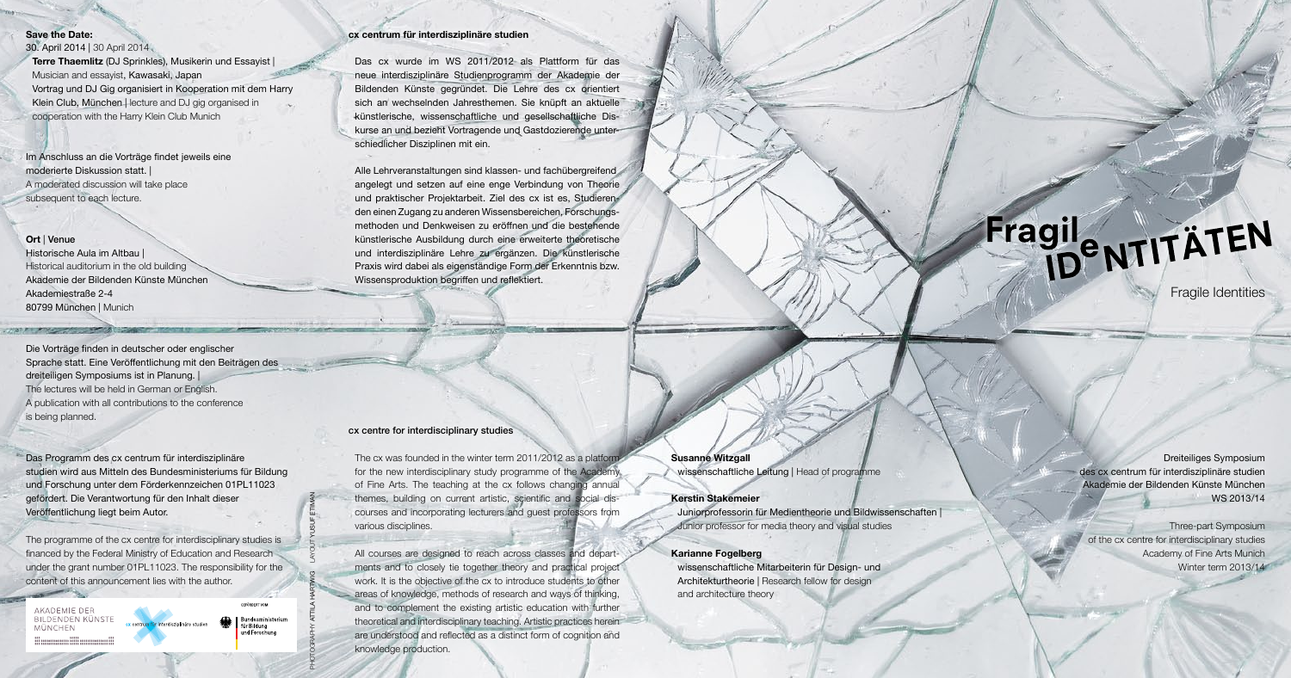### **cx centrum für interdisziplinäre studien**

Das cx wurde im WS 2011/2012 als Plattform für das neue interdisziplinäre Studienprogramm der Akademie der Bildenden Künste gegründet. Die Lehre des cx orientiert sich an wechselnden Jahresthemen. Sie knüpft an aktuelle künstlerische, wissenschaftliche und gesellschaftliche Diskurse an und bezieht Vortragende und Gastdozierende unterschiedlicher Disziplinen mit ein.

Alle Lehrveranstaltungen sind klassen- und fachübergreifend angelegt und setzen auf eine enge Verbindung von Theorie und praktischer Projektarbeit. Ziel des cx ist es, Studierenden einen Zugang zu anderen Wissensbereichen, Forschungsmethoden und Denkweisen zu eröffnen und die bestehende künstlerische Ausbildung durch eine erweiterte theoretische und interdisziplinäre Lehre zu ergänzen. Die künstlerische Praxis wird dabei als eigenständige Form der Erkenntnis bzw. Wissensproduktion begriffen und reflektiert.

### cx centre for interdisciplinary studies

The cx was founded in the winter term 2011/2012 as a platform for the new interdisciplinary study programme of the Academy of Fine Arts. The teaching at the cx follows changing annual themes, building on current artistic, scientific and social discourses and incorporating lecturers and guest professors from various disciplines.

All courses are designed to reach across classes and departments and to closely tie together theory and practical project work. It is the objective of the cx to introduce students to other areas of knowledge, methods of research and ways of thinking, and to complement the existing artistic education with further theoretical and interdisciplinary teaching. Artistic practices herein are understood and reflected as a distinct form of cognition and knowledge production.

**Susanne Witzgall** wissenschaftliche Leitung | Head of programme

### **Kerstin Stakemeier**

Juniorprofessorin für Medientheorie und Bildwissenschaften | Junior professor for media theory and visual studies

## **Karianne Fogelberg**

wissenschaftliche Mitarbeiterin für Design- und Architekturtheorie | Research fellow for design and architecture theory

# Fragil<sub>e NTIT</sub>ÄTEN

Dreiteiliges Symposium des cx centrum für interdisziplinäre studien Akademie der Bildenden Künste München WS 2013/14

Three-part Symposium of the cx centre for interdisciplinary studies Academy of Fine Arts Munich Winter term 2013/14

# **Save the Date:**

30. April 2014 | 30 April 2014 **Terre Thaemlitz** (DJ Sprinkles), Musikerin und Essayist | Musician and essayist, Kawasaki, Japan Vortrag und DJ Gig organisiert in Kooperation mit dem Harry Klein Club, München | lecture and DJ gig organised in cooperation with the Harry Klein Club Munich

Im Anschluss an die Vorträge findet jeweils eine moderierte Diskussion statt. | A moderated discussion will take place subsequent to each lecture.

# **Ort** | Venue

Historische Aula im Altbau | Historical auditorium in the old building Akademie der Bildenden Künste München Akademiestraße 2-4 80799 München | Munich

Die Vorträge finden in deutscher oder englischer Sprache statt. Eine Veröffentlichung mit den Beiträgen des dreiteiligen Symposiums ist in Planung. | The lectures will be held in German or English. A publication with all contributions to the conference is being planned.

Das Programm des cx centrum für interdisziplinäre studien wird aus Mitteln des Bundesministeriums für Bildung und Forschung unter dem Förderkennzeichen 01PL11023 gefördert. Die Verantwortung für den Inhalt dieser Veröffentlichung liegt beim Autor.

The programme of the cx centre for interdisciplinary studies is financed by the Federal Ministry of Education and Research under the grant number 01PL11023. The responsibility for the content of this announcement lies with the author.

AKADEMIE DER **BILDENDEN KÜNSTE** cx centrum für interdisziplinäre studien MÜNCHEN



Fragile Identities

PHOTOGRAPHY ATTILA HARTWIG LAYOUT YUSUF ETIMAN